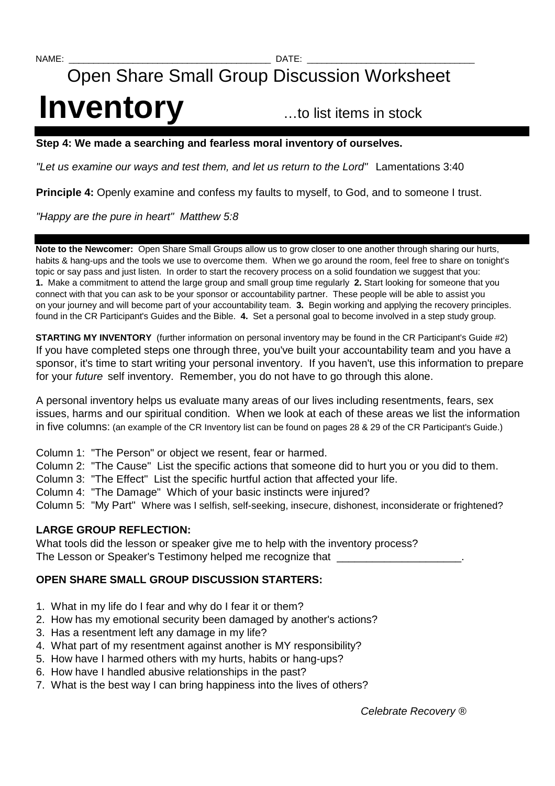# Open Share Small Group Discussion Worksheet **Inventory** …to list items in stock

### **Step 4: We made a searching and fearless moral inventory of ourselves.**

"Let us examine our ways and test them, and let us return to the Lord" Lamentations 3:40

**Principle 4:** Openly examine and confess my faults to myself, to God, and to someone I trust.

"Happy are the pure in heart" Matthew 5:8

**Note to the Newcomer:** Open Share Small Groups allow us to grow closer to one another through sharing our hurts, habits & hang-ups and the tools we use to overcome them. When we go around the room, feel free to share on tonight's topic or say pass and just listen. In order to start the recovery process on a solid foundation we suggest that you: **1.** Make a commitment to attend the large group and small group time regularly **2.** Start looking for someone that you connect with that you can ask to be your sponsor or accountability partner. These people will be able to assist you on your journey and will become part of your accountability team. **3.** Begin working and applying the recovery principles. found in the CR Participant's Guides and the Bible. **4.** Set a personal goal to become involved in a step study group.

**STARTING MY INVENTORY** (further information on personal inventory may be found in the CR Participant's Guide #2) If you have completed steps one through three, you've built your accountability team and you have a sponsor, it's time to start writing your personal inventory. If you haven't, use this information to prepare for your future self inventory. Remember, you do not have to go through this alone.

A personal inventory helps us evaluate many areas of our lives including resentments, fears, sex issues, harms and our spiritual condition. When we look at each of these areas we list the information in five columns: (an example of the CR Inventory list can be found on pages 28 & 29 of the CR Participant's Guide.)

- Column 1: "The Person" or object we resent, fear or harmed.
- Column 2: "The Cause" List the specific actions that someone did to hurt you or you did to them.
- Column 3: "The Effect" List the specific hurtful action that affected your life.
- Column 4: "The Damage" Which of your basic instincts were injured?
- Column 5: "My Part" Where was I selfish, self-seeking, insecure, dishonest, inconsiderate or frightened?

# **LARGE GROUP REFLECTION:**

What tools did the lesson or speaker give me to help with the inventory process? The Lesson or Speaker's Testimony helped me recognize that

# **OPEN SHARE SMALL GROUP DISCUSSION STARTERS:**

- 1. What in my life do I fear and why do I fear it or them?
- 2. How has my emotional security been damaged by another's actions?
- 3. Has a resentment left any damage in my life?
- 4. What part of my resentment against another is MY responsibility?
- 5. How have I harmed others with my hurts, habits or hang-ups?
- 6. How have I handled abusive relationships in the past?
- 7. What is the best way I can bring happiness into the lives of others?